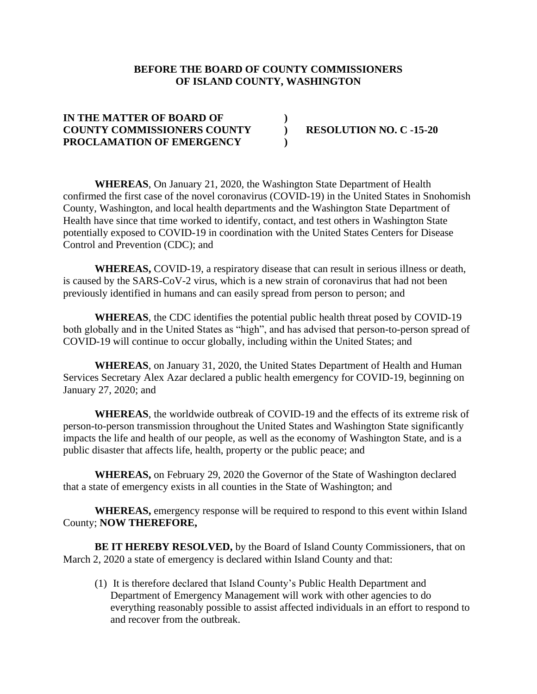## **BEFORE THE BOARD OF COUNTY COMMISSIONERS OF ISLAND COUNTY, WASHINGTON**

## **IN THE MATTER OF BOARD OF ) COUNTY COMMISSIONERS COUNTY ) RESOLUTION NO. C -15-20 PROCLAMATION OF EMERGENCY )**

**WHEREAS**, On January 21, 2020, the Washington State Department of Health confirmed the first case of the novel coronavirus (COVID-19) in the United States in Snohomish County, Washington, and local health departments and the Washington State Department of Health have since that time worked to identify, contact, and test others in Washington State potentially exposed to COVID-19 in coordination with the United States Centers for Disease Control and Prevention (CDC); and

**WHEREAS,** COVID-19, a respiratory disease that can result in serious illness or death, is caused by the SARS-CoV-2 virus, which is a new strain of coronavirus that had not been previously identified in humans and can easily spread from person to person; and

**WHEREAS**, the CDC identifies the potential public health threat posed by COVID-19 both globally and in the United States as "high", and has advised that person-to-person spread of COVID-19 will continue to occur globally, including within the United States; and

**WHEREAS**, on January 31, 2020, the United States Department of Health and Human Services Secretary Alex Azar declared a public health emergency for COVID-19, beginning on January 27, 2020; and

**WHEREAS**, the worldwide outbreak of COVID-19 and the effects of its extreme risk of person-to-person transmission throughout the United States and Washington State significantly impacts the life and health of our people, as well as the economy of Washington State, and is a public disaster that affects life, health, property or the public peace; and

**WHEREAS,** on February 29, 2020 the Governor of the State of Washington declared that a state of emergency exists in all counties in the State of Washington; and

**WHEREAS,** emergency response will be required to respond to this event within Island County; **NOW THEREFORE,**

**BE IT HEREBY RESOLVED,** by the Board of Island County Commissioners, that on March 2, 2020 a state of emergency is declared within Island County and that:

(1) It is therefore declared that Island County's Public Health Department and Department of Emergency Management will work with other agencies to do everything reasonably possible to assist affected individuals in an effort to respond to and recover from the outbreak.